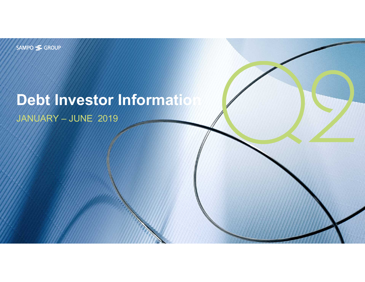SAMPO SGROUP

# **Debt Investor Information**

JANUARY – JUNE 2019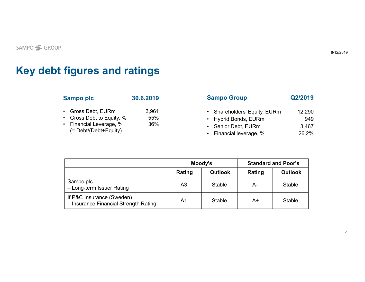### **Key debt figures and ratings**

| <b>Sampo plc</b>                                                                                | 30.6.2019           | <b>Sampo Group</b>                                                                                     | Q2/2019                         |
|-------------------------------------------------------------------------------------------------|---------------------|--------------------------------------------------------------------------------------------------------|---------------------------------|
| Gross Debt, EURm<br>• Gross Debt to Equity, %<br>Financial Leverage, %<br>(= Debt/(Debt+Equity) | 3,961<br>55%<br>36% | • Shareholders' Equity, EURm<br>• Hybrid Bonds, EURm<br>• Senior Debt, EURm<br>• Financial leverage, % | 12,290<br>949<br>3,467<br>26.2% |

|                                                                    |                | Moody's        | <b>Standard and Poor's</b> |                |  |
|--------------------------------------------------------------------|----------------|----------------|----------------------------|----------------|--|
|                                                                    | Rating         | <b>Outlook</b> | Rating                     | <b>Outlook</b> |  |
| Sampo plc<br>- Long-term Issuer Rating                             | A <sub>3</sub> | Stable         | А-                         | Stable         |  |
| If P&C Insurance (Sweden)<br>- Insurance Financial Strength Rating | A <sub>1</sub> | Stable         | A+                         | <b>Stable</b>  |  |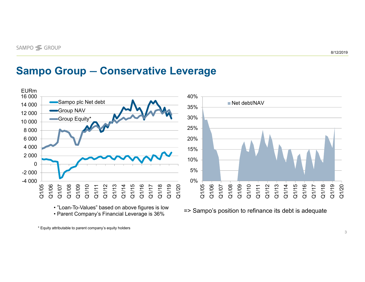#### **Sampo Group ― Conservative Leverage**



• "Loan-To-Values" based on above figures is low • Parent Company's Financial Leverage is 36%

=> Sampo's position to refinance its debt is adequate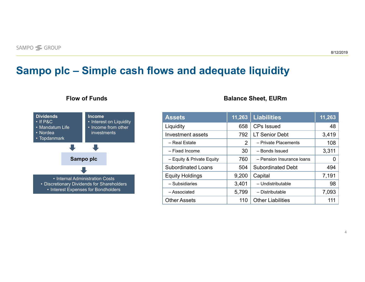### **Sampo plc ‒ Simple cash flows and adequate liquidity**



#### **Flow of Funds Balance Sheet, EURm**

| <b>Assets</b>             | 11,263 | <b>Liabilities</b>        | 11,263 |
|---------------------------|--------|---------------------------|--------|
| Liquidity                 | 658    | <b>CPs Issued</b>         | 48     |
| Investment assets         | 792    | <b>LT Senior Debt</b>     | 3,419  |
| - Real Estate             | 2      | - Private Placements      | 108    |
| - Fixed Income            | 30     | - Bonds Issued            | 3,311  |
| - Equity & Private Equity | 760    | - Pension Insurance Ioans | 0      |
| Subordinated Loans        | 504    | <b>Subordinated Debt</b>  | 494    |
| <b>Equity Holdings</b>    | 9,200  | Capital                   | 7,191  |
| - Subsidiaries            | 3,401  | - Undistributable         | 98     |
| - Associated              | 5,799  | - Distributable           | 7,093  |
| <b>Other Assets</b>       | 110    | <b>Other Liabilities</b>  | 111    |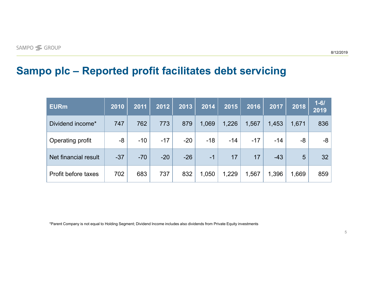#### **Sampo plc ‒ Reported profit facilitates debt servicing**

| <b>EURm</b>          | 2010  | 2011  | 2012  | 2013  | 2014  | 2015  | 2016  | 2017  | 2018  | $1 - 61$<br>2019 |
|----------------------|-------|-------|-------|-------|-------|-------|-------|-------|-------|------------------|
| Dividend income*     | 747   | 762   | 773   | 879   | 1,069 | 1,226 | 1,567 | 1,453 | 1,671 | 836              |
| Operating profit     | -8    | $-10$ | $-17$ | $-20$ | $-18$ | $-14$ | $-17$ | $-14$ | -8    | -8               |
| Net financial result | $-37$ | $-70$ | $-20$ | $-26$ | $-1$  | 17    | 17    | $-43$ | 5     | 32 <sup>2</sup>  |
| Profit before taxes  | 702   | 683   | 737   | 832   | 1,050 | 1,229 | 1,567 | 1,396 | 1,669 | 859              |

\*Parent Company is not equal to Holding Segment; Dividend Income includes also dividends from Private Equity investments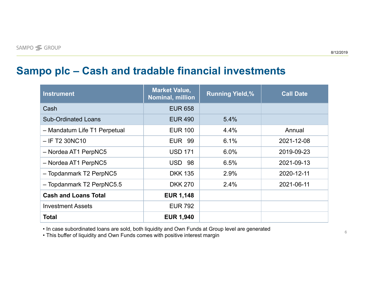### **Sampo plc ‒ Cash and tradable financial investments**

| <b>Instrument</b>            | <b>Market Value,</b><br>Nominal, million | <b>Running Yield,%</b> | <b>Call Date</b> |
|------------------------------|------------------------------------------|------------------------|------------------|
| Cash                         | <b>EUR 658</b>                           |                        |                  |
| <b>Sub-Ordinated Loans</b>   | <b>EUR 490</b>                           | 5.4%                   |                  |
| - Mandatum Life T1 Perpetual | <b>EUR 100</b>                           | 4.4%                   | Annual           |
| $-$ IF T2 30NC10             | <b>EUR 99</b>                            | 6.1%                   | 2021-12-08       |
| - Nordea AT1 PerpNC5         | <b>USD 171</b>                           | 6.0%                   | 2019-09-23       |
| - Nordea AT1 PerpNC5         | <b>USD 98</b>                            | 6.5%                   | 2021-09-13       |
| - Topdanmark T2 PerpNC5      | <b>DKK 135</b>                           | 2.9%                   | 2020-12-11       |
| - Topdanmark T2 PerpNC5.5    | <b>DKK 270</b>                           | 2.4%                   | 2021-06-11       |
| <b>Cash and Loans Total</b>  | <b>EUR 1,148</b>                         |                        |                  |
| <b>Investment Assets</b>     | <b>EUR 792</b>                           |                        |                  |
| <b>Total</b>                 | <b>EUR 1,940</b>                         |                        |                  |

• In case subordinated loans are sold, both liquidity and Own Funds at Group level are generated

• This buffer of liquidity and Own Funds comes with positive interest margin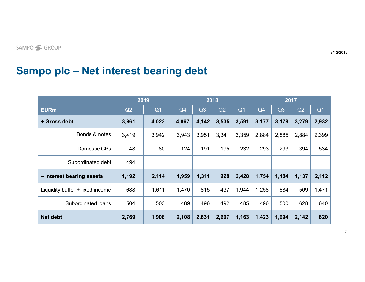### **Sampo plc ‒ Net interest bearing debt**

|                                 | 2019  |                |       | 2018  |       | 2017           |       |                |       |                |
|---------------------------------|-------|----------------|-------|-------|-------|----------------|-------|----------------|-------|----------------|
| <b>EURm</b>                     | Q2    | Q <sub>1</sub> | Q4    | Q3    | Q2    | Q <sub>1</sub> | Q4    | Q <sub>3</sub> | Q2    | Q <sub>1</sub> |
| + Gross debt                    | 3,961 | 4,023          | 4,067 | 4,142 | 3,535 | 3,591          | 3,177 | 3,178          | 3,279 | 2,932          |
| Bonds & notes                   | 3,419 | 3,942          | 3,943 | 3,951 | 3,341 | 3,359          | 2,884 | 2,885          | 2,884 | 2,399          |
| Domestic CPs                    | 48    | 80             | 124   | 191   | 195   | 232            | 293   | 293            | 394   | 534            |
| Subordinated debt               | 494   |                |       |       |       |                |       |                |       |                |
| - Interest bearing assets       | 1,192 | 2,114          | 1,959 | 1,311 | 928   | 2,428          | 1,754 | 1,184          | 1,137 | 2,112          |
| Liquidity buffer + fixed income | 688   | 1,611          | 1,470 | 815   | 437   | 1,944          | 1,258 | 684            | 509   | 1,471          |
| Subordinated loans              | 504   | 503            | 489   | 496   | 492   | 485            | 496   | 500            | 628   | 640            |
| <b>Net debt</b>                 | 2,769 | 1,908          | 2,108 | 2,831 | 2,607 | 1,163          | 1,423 | 1,994          | 2,142 | 820            |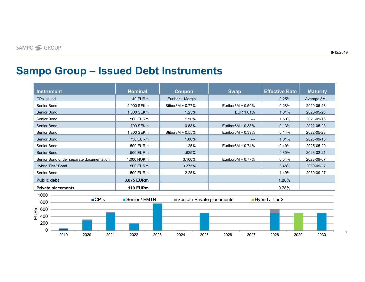8

## **Sampo Group ‒ Issued Debt Instruments**

| <b>Instrument</b>  |                                          |      |                     | <b>Nominal</b>  |      | Coupon              |      | <b>Swap</b>                 |                                | <b>Effective Rate</b> |      | <b>Maturity</b> |
|--------------------|------------------------------------------|------|---------------------|-----------------|------|---------------------|------|-----------------------------|--------------------------------|-----------------------|------|-----------------|
|                    |                                          |      |                     |                 |      |                     |      |                             |                                |                       |      |                 |
| CPs issued         |                                          |      |                     | 49 EURm         |      | Euribor + Margin    |      |                             |                                | 0.25%                 |      | Average 3M      |
| Senior Bond        |                                          |      |                     | 2,000 SEKm      |      | Stibor $3M + 0.77%$ |      | Euribor3M + 0.59%           |                                | 0.28%                 |      | 2020-05-28      |
| <b>Senior Bond</b> |                                          |      |                     | 1,000 SEKm      |      | 1.25%               |      | EUR 1.01%                   |                                | 1.01%                 |      | 2020-05-28      |
| Senior Bond        |                                          |      |                     | <b>500 EURm</b> |      | 1.50%               |      |                             |                                | 1.59%                 |      | 2021-09-16      |
| <b>Senior Bond</b> |                                          |      |                     | <b>700 SEKm</b> |      | 0.88%               |      | Euribor $6M + 0.38%$        |                                | 0.13%                 |      | 2022-05-23      |
| Senior Bond        |                                          |      |                     | 1,300 SEKm      |      | Stibor3M + 0.55%    |      | Euribor $6M + 0.39\%$       |                                | 0.14%                 |      | 2022-05-23      |
|                    | <b>Senior Bond</b>                       |      |                     | <b>750 EURm</b> |      | 1.00%               |      |                             |                                | 1.01%                 |      | 2023-09-18      |
|                    | Senior Bond                              |      |                     | <b>500 EURm</b> |      | 1.25%               |      | Euribor $6M + 0.74%$        |                                | 0.49%                 |      | 2025-05-20      |
|                    | <b>Senior Bond</b>                       |      |                     | <b>500 EURm</b> |      | 1.625%              |      |                             |                                | 0.85%                 |      | 2028-02-21      |
|                    | Senior Bond under separate documentation |      |                     | 1,000 NOKm      |      | 3.100%              |      |                             | Euribor $6M + 0.77\%$<br>0.54% |                       |      | 2028-09-07      |
|                    | <b>Hybrid Tier2 Bond</b>                 |      |                     | <b>500 EURm</b> |      | 3.375%              |      |                             |                                | 3.48%                 |      | 2030-09-27      |
| Senior Bond        |                                          |      |                     | <b>500 EURm</b> |      | 2.25%               |      |                             |                                | 1.49%                 |      | 2030-09-27      |
|                    | <b>Public debt</b>                       |      |                     | 3,875 EURm      |      |                     |      |                             |                                | 1.28%                 |      |                 |
|                    | <b>Private placements</b>                |      |                     | <b>110 EURm</b> |      |                     |      |                             |                                | 0.78%                 |      |                 |
| 1000               |                                          |      |                     |                 |      |                     |      |                             |                                |                       |      |                 |
|                    |                                          |      | $\blacksquare$ CP's | ■ Senior / EMTN |      |                     |      | Senior / Private placements |                                | ■ Hybrid / Tier 2     |      |                 |
| 800                |                                          |      |                     |                 |      |                     |      |                             |                                |                       |      |                 |
| 600                |                                          |      |                     |                 |      |                     |      |                             |                                |                       |      |                 |
| EURm<br>400        |                                          |      |                     |                 |      |                     |      |                             |                                |                       |      |                 |
| 200                |                                          |      |                     |                 |      |                     |      |                             |                                |                       |      |                 |
|                    |                                          |      |                     |                 |      |                     |      |                             |                                |                       |      |                 |
| 0                  | 2019                                     | 2020 | 2021                | 2022            | 2023 | 2024                | 2025 | 2026                        | 2027                           | 2028                  | 2029 | 2030            |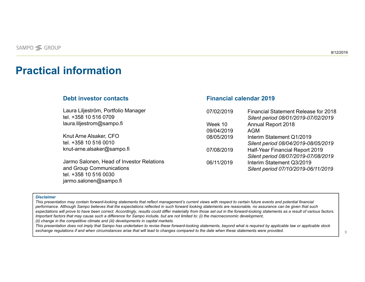### **Practical information**

#### **Debt investor contacts**

Laura Liljeström, Portfolio Manager tel. +358 10 516 0709 laura.liljestrom@sampo.fi

Knut Arne Alsaker, CFO tel. +358 10 516 0010knut-arne.alsaker@sampo.fi

Jarmo Salonen, Head of Investor Relations and Group Communications tel. +358 10 516 0030 jarmo.salonen@sampo.fi

#### **Financial calendar 2019**

| 07/02/2019 | <b>Financial Statement Release for 2018</b><br>Silent period 08/01/2019-07/02/2019 |
|------------|------------------------------------------------------------------------------------|
| Week 10    | <b>Annual Report 2018</b>                                                          |
| 09/04/2019 | <b>AGM</b>                                                                         |
| 08/05/2019 | Interim Statement Q1/2019                                                          |
|            | Silent period 08/04/2019-08/05/2019                                                |
| 07/08/2019 | Half-Year Financial Report 2019                                                    |
|            | Silent period 08/07/2019-07/08/2019                                                |
| 06/11/2019 | Interim Statement Q3/2019                                                          |
|            | Silent period 07/10/2019-06/11/2019                                                |
|            |                                                                                    |

#### *Disclaimer*

*This presentation may contain forward-looking statements that reflect management's current views with respect to certain future events and potential financial performance. Although Sampo believes that the expectations reflected in such forward looking statements are reasonable, no assurance can be given that such expectations will prove to have been correct. Accordingly, results could differ materially from those set out in the forward-looking statements as a result of various factors. Important factors that may cause such a difference for Sampo include, but are not limited to: (i) the macroeconomic development, (ii) change in the competitive climate and (iii) developments in capital markets.*

*This presentation does not imply that Sampo has undertaken to revise these forward-looking statements, beyond what is required by applicable law or applicable stock exchange regulations if and when circumstances arise that will lead to changes compared to the date when these statements were provided.*